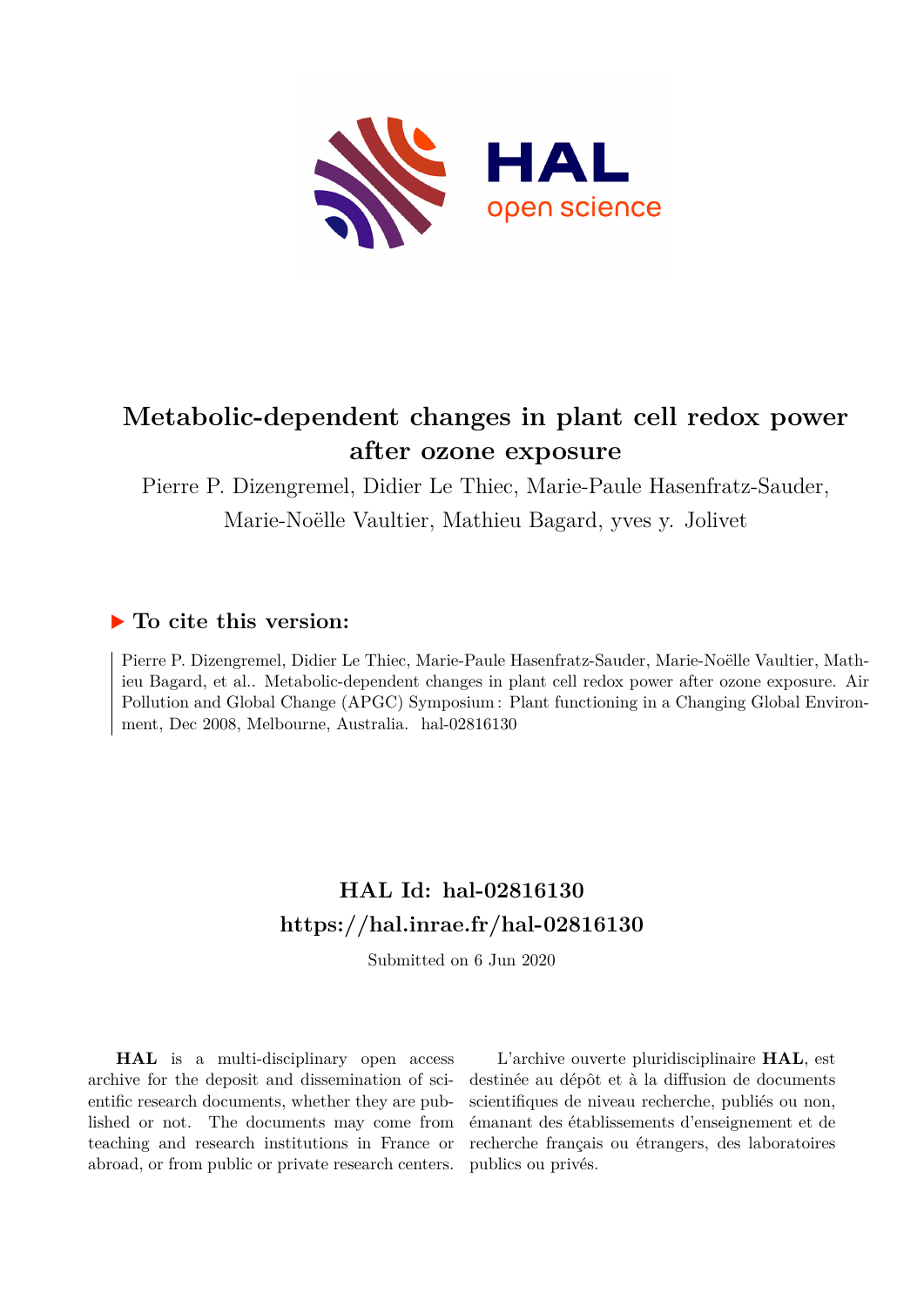

# **Metabolic-dependent changes in plant cell redox power after ozone exposure**

Pierre P. Dizengremel, Didier Le Thiec, Marie-Paule Hasenfratz-Sauder, Marie-Noëlle Vaultier, Mathieu Bagard, yves y. Jolivet

# **To cite this version:**

Pierre P. Dizengremel, Didier Le Thiec, Marie-Paule Hasenfratz-Sauder, Marie-Noëlle Vaultier, Mathieu Bagard, et al.. Metabolic-dependent changes in plant cell redox power after ozone exposure. Air Pollution and Global Change (APGC) Symposium : Plant functioning in a Changing Global Environment, Dec 2008, Melbourne, Australia. hal-02816130

# **HAL Id: hal-02816130 <https://hal.inrae.fr/hal-02816130>**

Submitted on 6 Jun 2020

**HAL** is a multi-disciplinary open access archive for the deposit and dissemination of scientific research documents, whether they are published or not. The documents may come from teaching and research institutions in France or abroad, or from public or private research centers.

L'archive ouverte pluridisciplinaire **HAL**, est destinée au dépôt et à la diffusion de documents scientifiques de niveau recherche, publiés ou non, émanant des établissements d'enseignement et de recherche français ou étrangers, des laboratoires publics ou privés.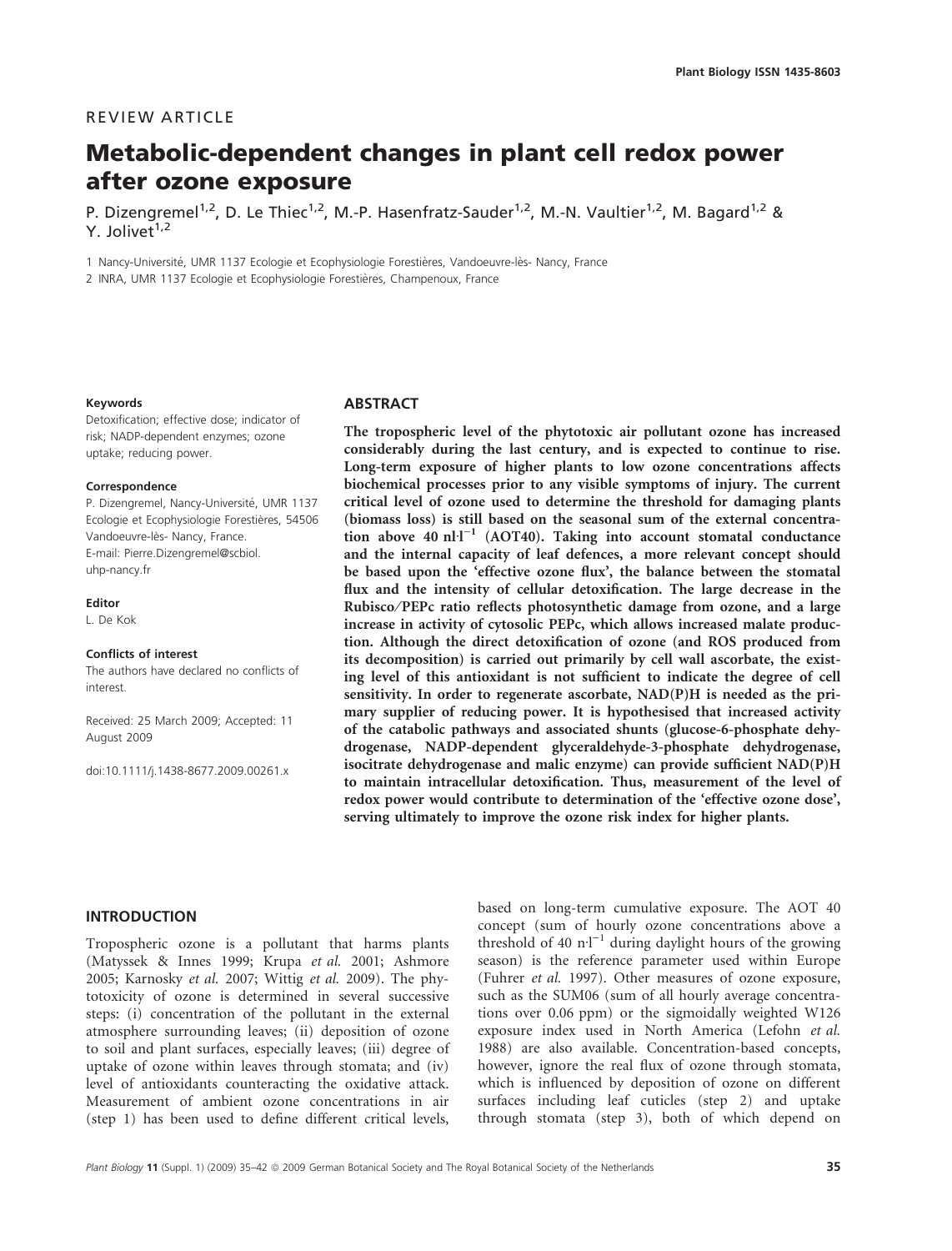# REVIEW ARTICLE

# Metabolic-dependent changes in plant cell redox power after ozone exposure

P. Dizengremel<sup>1,2</sup>, D. Le Thiec<sup>1,2</sup>, M.-P. Hasenfratz-Sauder<sup>1,2</sup>, M.-N. Vaultier<sup>1,2</sup>, M. Bagard<sup>1,2</sup> & Y. Jolivet $1,2$ 

1 Nancy-Université, UMR 1137 Ecologie et Ecophysiologie Forestières, Vandoeuvre-lès- Nancy, France

2 INRA, UMR 1137 Ecologie et Ecophysiologie Forestières, Champenoux, France

#### Keywords

Detoxification; effective dose; indicator of risk; NADP-dependent enzymes; ozone uptake; reducing power.

#### Correspondence

P. Dizengremel, Nancy-Université, UMR 1137 Ecologie et Ecophysiologie Forestières, 54506 Vandoeuvre-lès- Nancy, France. E-mail: Pierre.Dizengremel@scbiol. uhp-nancy.fr

#### Editor

L. De Kok

#### Conflicts of interest

The authors have declared no conflicts of interest.

Received: 25 March 2009; Accepted: 11 August 2009

doi:10.1111/j.1438-8677.2009.00261.x

#### ABSTRACT

The tropospheric level of the phytotoxic air pollutant ozone has increased considerably during the last century, and is expected to continue to rise. Long-term exposure of higher plants to low ozone concentrations affects biochemical processes prior to any visible symptoms of injury. The current critical level of ozone used to determine the threshold for damaging plants (biomass loss) is still based on the seasonal sum of the external concentration above 40  $n l^{1}$  (AOT40). Taking into account stomatal conductance and the internal capacity of leaf defences, a more relevant concept should be based upon the 'effective ozone flux', the balance between the stomatal flux and the intensity of cellular detoxification. The large decrease in the Rubisco ⁄ PEPc ratio reflects photosynthetic damage from ozone, and a large increase in activity of cytosolic PEPc, which allows increased malate production. Although the direct detoxification of ozone (and ROS produced from its decomposition) is carried out primarily by cell wall ascorbate, the existing level of this antioxidant is not sufficient to indicate the degree of cell sensitivity. In order to regenerate ascorbate, NAD(P)H is needed as the primary supplier of reducing power. It is hypothesised that increased activity of the catabolic pathways and associated shunts (glucose-6-phosphate dehydrogenase, NADP-dependent glyceraldehyde-3-phosphate dehydrogenase, isocitrate dehydrogenase and malic enzyme) can provide sufficient NAD(P)H to maintain intracellular detoxification. Thus, measurement of the level of redox power would contribute to determination of the 'effective ozone dose', serving ultimately to improve the ozone risk index for higher plants.

# INTRODUCTION

Tropospheric ozone is a pollutant that harms plants (Matyssek & Innes 1999; Krupa et al. 2001; Ashmore 2005; Karnosky et al. 2007; Wittig et al. 2009). The phytotoxicity of ozone is determined in several successive steps: (i) concentration of the pollutant in the external atmosphere surrounding leaves; (ii) deposition of ozone to soil and plant surfaces, especially leaves; (iii) degree of uptake of ozone within leaves through stomata; and (iv) level of antioxidants counteracting the oxidative attack. Measurement of ambient ozone concentrations in air (step 1) has been used to define different critical levels,

based on long-term cumulative exposure. The AOT 40 concept (sum of hourly ozone concentrations above a threshold of 40  $\text{n-l}^{-1}$  during daylight hours of the growing season) is the reference parameter used within Europe (Fuhrer et al. 1997). Other measures of ozone exposure, such as the SUM06 (sum of all hourly average concentrations over 0.06 ppm) or the sigmoidally weighted W126 exposure index used in North America (Lefohn et al. 1988) are also available. Concentration-based concepts, however, ignore the real flux of ozone through stomata, which is influenced by deposition of ozone on different surfaces including leaf cuticles (step 2) and uptake through stomata (step 3), both of which depend on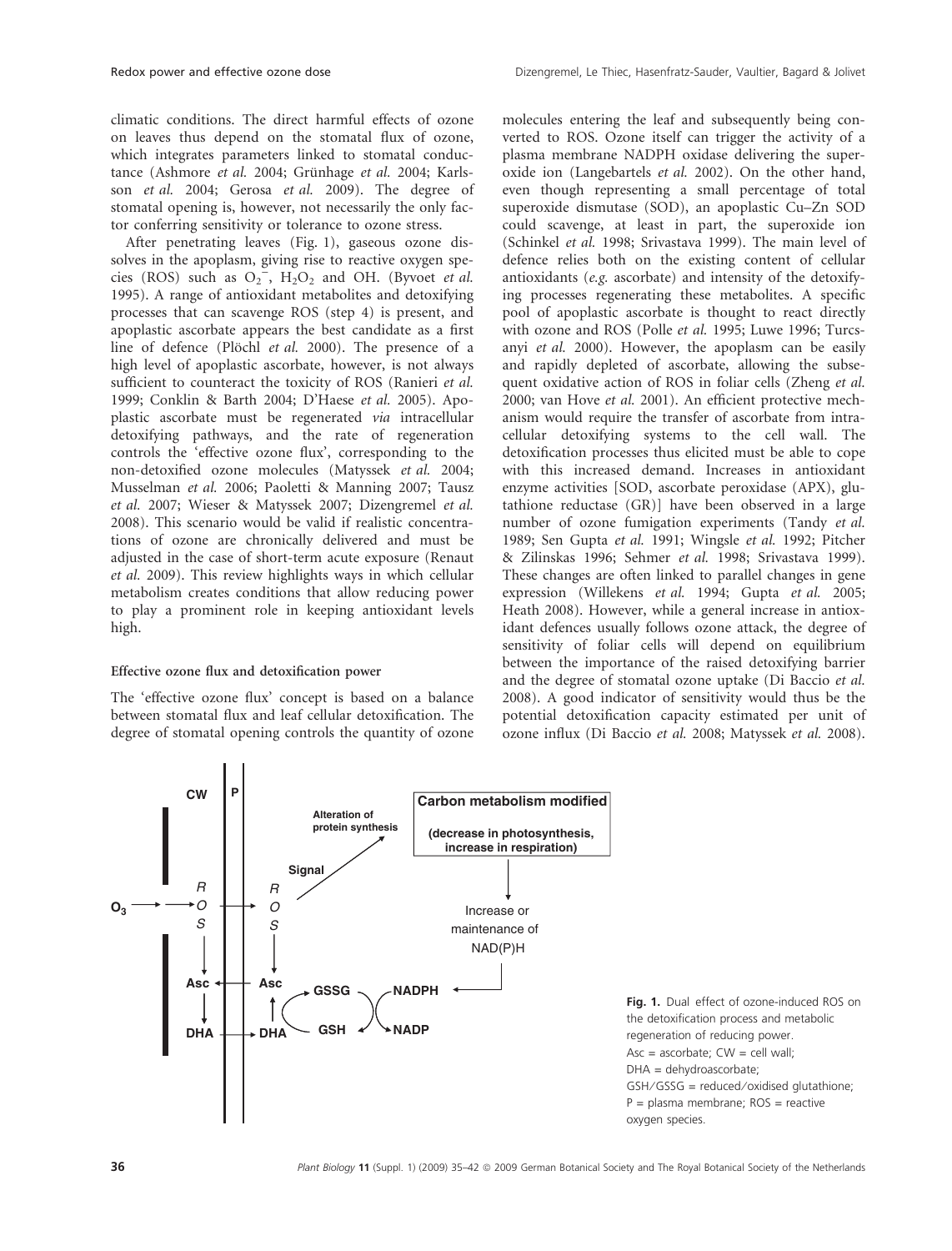climatic conditions. The direct harmful effects of ozone on leaves thus depend on the stomatal flux of ozone, which integrates parameters linked to stomatal conductance (Ashmore et al. 2004; Grünhage et al. 2004; Karlsson et al. 2004; Gerosa et al. 2009). The degree of stomatal opening is, however, not necessarily the only factor conferring sensitivity or tolerance to ozone stress.

After penetrating leaves (Fig. 1), gaseous ozone dissolves in the apoplasm, giving rise to reactive oxygen species (ROS) such as  $O_2^{\sim}$ ,  $H_2O_2$  and OH. (Byvoet *et al.*) 1995). A range of antioxidant metabolites and detoxifying processes that can scavenge ROS (step 4) is present, and apoplastic ascorbate appears the best candidate as a first line of defence (Plöchl et al. 2000). The presence of a high level of apoplastic ascorbate, however, is not always sufficient to counteract the toxicity of ROS (Ranieri et al. 1999; Conklin & Barth 2004; D'Haese et al. 2005). Apoplastic ascorbate must be regenerated via intracellular detoxifying pathways, and the rate of regeneration controls the 'effective ozone flux', corresponding to the non-detoxified ozone molecules (Matyssek et al. 2004; Musselman et al. 2006; Paoletti & Manning 2007; Tausz et al. 2007; Wieser & Matyssek 2007; Dizengremel et al. 2008). This scenario would be valid if realistic concentrations of ozone are chronically delivered and must be adjusted in the case of short-term acute exposure (Renaut et al. 2009). This review highlights ways in which cellular metabolism creates conditions that allow reducing power to play a prominent role in keeping antioxidant levels high.

#### Effective ozone flux and detoxification power

The 'effective ozone flux' concept is based on a balance between stomatal flux and leaf cellular detoxification. The degree of stomatal opening controls the quantity of ozone molecules entering the leaf and subsequently being converted to ROS. Ozone itself can trigger the activity of a plasma membrane NADPH oxidase delivering the superoxide ion (Langebartels et al. 2002). On the other hand, even though representing a small percentage of total superoxide dismutase (SOD), an apoplastic Cu–Zn SOD could scavenge, at least in part, the superoxide ion (Schinkel et al. 1998; Srivastava 1999). The main level of defence relies both on the existing content of cellular antioxidants (e.g. ascorbate) and intensity of the detoxifying processes regenerating these metabolites. A specific pool of apoplastic ascorbate is thought to react directly with ozone and ROS (Polle et al. 1995; Luwe 1996; Turcsanyi et al. 2000). However, the apoplasm can be easily and rapidly depleted of ascorbate, allowing the subsequent oxidative action of ROS in foliar cells (Zheng et al. 2000; van Hove et al. 2001). An efficient protective mechanism would require the transfer of ascorbate from intracellular detoxifying systems to the cell wall. The detoxification processes thus elicited must be able to cope with this increased demand. Increases in antioxidant enzyme activities [SOD, ascorbate peroxidase (APX), glutathione reductase (GR)] have been observed in a large number of ozone fumigation experiments (Tandy et al. 1989; Sen Gupta et al. 1991; Wingsle et al. 1992; Pitcher & Zilinskas 1996; Sehmer et al. 1998; Srivastava 1999). These changes are often linked to parallel changes in gene expression (Willekens et al. 1994; Gupta et al. 2005; Heath 2008). However, while a general increase in antioxidant defences usually follows ozone attack, the degree of sensitivity of foliar cells will depend on equilibrium between the importance of the raised detoxifying barrier and the degree of stomatal ozone uptake (Di Baccio et al. 2008). A good indicator of sensitivity would thus be the potential detoxification capacity estimated per unit of ozone influx (Di Baccio et al. 2008; Matyssek et al. 2008).

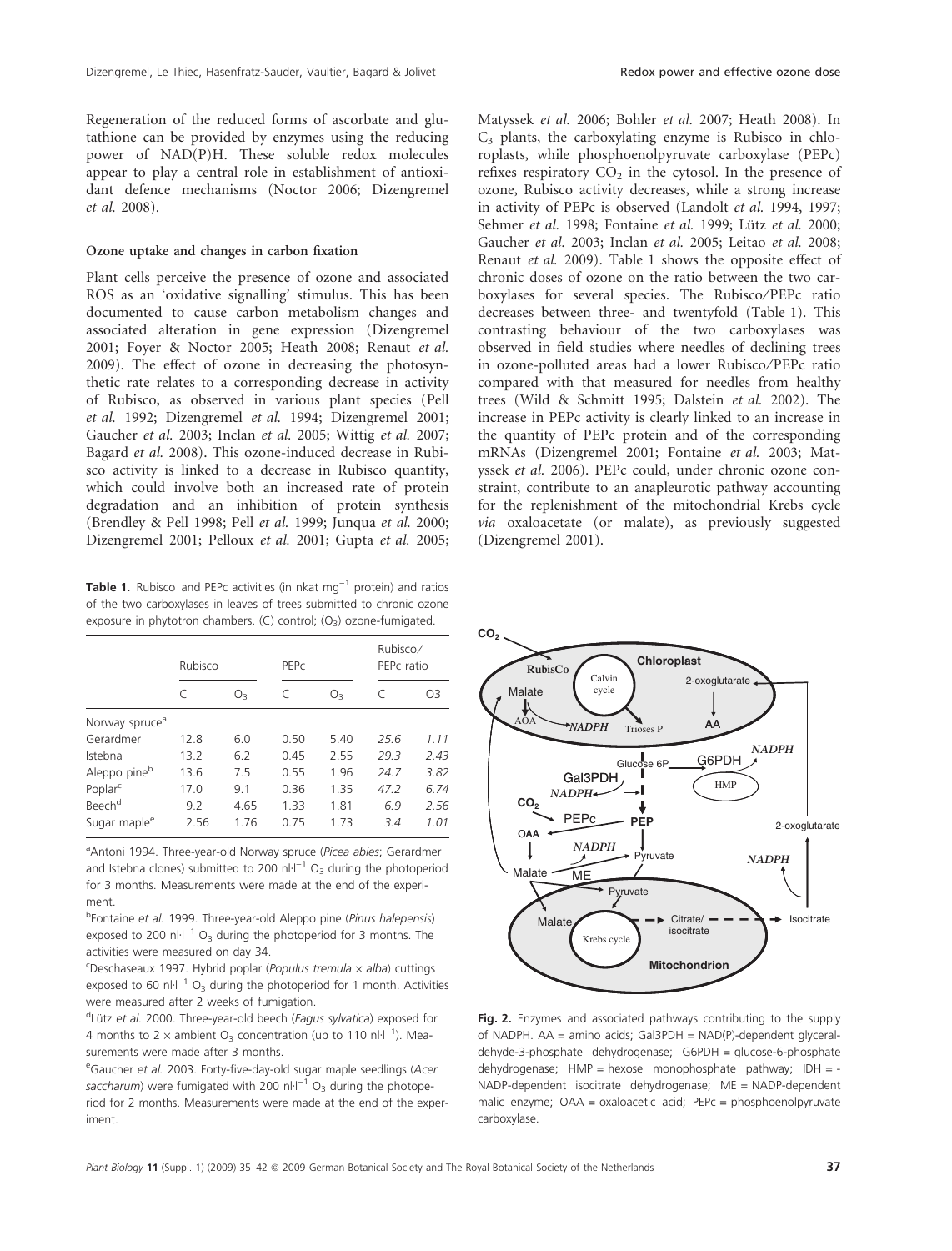Regeneration of the reduced forms of ascorbate and glutathione can be provided by enzymes using the reducing power of NAD(P)H. These soluble redox molecules appear to play a central role in establishment of antioxidant defence mechanisms (Noctor 2006; Dizengremel et al. 2008).

## Ozone uptake and changes in carbon fixation

Plant cells perceive the presence of ozone and associated ROS as an 'oxidative signalling' stimulus. This has been documented to cause carbon metabolism changes and associated alteration in gene expression (Dizengremel 2001; Foyer & Noctor 2005; Heath 2008; Renaut et al. 2009). The effect of ozone in decreasing the photosynthetic rate relates to a corresponding decrease in activity of Rubisco, as observed in various plant species (Pell et al. 1992; Dizengremel et al. 1994; Dizengremel 2001; Gaucher et al. 2003; Inclan et al. 2005; Wittig et al. 2007; Bagard et al. 2008). This ozone-induced decrease in Rubisco activity is linked to a decrease in Rubisco quantity, which could involve both an increased rate of protein degradation and an inhibition of protein synthesis (Brendley & Pell 1998; Pell et al. 1999; Junqua et al. 2000; Dizengremel 2001; Pelloux et al. 2001; Gupta et al. 2005;

**Table 1.** Rubisco and PEPc activities (in nkat  $mg^{-1}$  protein) and ratios of the two carboxylases in leaves of trees submitted to chronic ozone exposure in phytotron chambers. (C) control;  $(O_3)$  ozone-fumigated.

|                            | Rubisco |      | PEPC |         | Rubisco/<br>PEPc ratio |      |
|----------------------------|---------|------|------|---------|------------------------|------|
|                            |         | O3   | C    | $O_{3}$ |                        | O3   |
| Norway spruce <sup>a</sup> |         |      |      |         |                        |      |
| Gerardmer                  | 12.8    | 6.0  | 0.50 | 5.40    | 25.6                   | 1.11 |
| Istebna                    | 13.2    | 6.2  | 0.45 | 2.55    | 29.3                   | 2.43 |
| Aleppo pine <sup>b</sup>   | 13.6    | 7.5  | 0.55 | 1.96    | 24.7                   | 3.82 |
| Poplar <sup>c</sup>        | 17.0    | 9.1  | 0.36 | 1.35    | 47.2                   | 6.74 |
| Beech <sup>d</sup>         | 9.2     | 4.65 | 1.33 | 1.81    | 6.9                    | 2.56 |
| Sugar maple <sup>e</sup>   | 2.56    | 1.76 | 0.75 | 1.73    | 3.4                    | 1.01 |

<sup>a</sup>Antoni 1994. Three-year-old Norway spruce (Picea abies; Gerardmer and Istebna clones) submitted to 200 nl·l<sup>-1</sup> O<sub>3</sub> during the photoperiod for 3 months. Measurements were made at the end of the experiment.

<sup>b</sup>Fontaine et al. 1999. Three-year-old Aleppo pine (Pinus halepensis) exposed to 200 nl·l<sup>-1</sup> O<sub>3</sub> during the photoperiod for 3 months. The activities were measured on day 34.

<sup>c</sup>Deschaseaux 1997. Hybrid poplar (Populus tremula x alba) cuttings exposed to 60 nl·l<sup>-1</sup> O<sub>3</sub> during the photoperiod for 1 month. Activities were measured after 2 weeks of fumigation.

<sup>d</sup>Lütz et al. 2000. Three-year-old beech (Fagus sylvatica) exposed for 4 months to 2  $\times$  ambient O<sub>3</sub> concentration (up to 110 nl·l<sup>-1</sup>). Measurements were made after 3 months.

<sup>e</sup>Gaucher et al. 2003. Forty-five-day-old sugar maple seedlings (Acer saccharum) were fumigated with 200 nl·l<sup>-1</sup> O<sub>3</sub> during the photoperiod for 2 months. Measurements were made at the end of the experiment.

Matyssek et al. 2006; Bohler et al. 2007; Heath 2008). In  $C_3$  plants, the carboxylating enzyme is Rubisco in chloroplasts, while phosphoenolpyruvate carboxylase (PEPc) refixes respiratory  $CO<sub>2</sub>$  in the cytosol. In the presence of ozone, Rubisco activity decreases, while a strong increase in activity of PEPc is observed (Landolt et al. 1994, 1997; Sehmer et al. 1998; Fontaine et al. 1999; Lütz et al. 2000; Gaucher et al. 2003; Inclan et al. 2005; Leitao et al. 2008; Renaut et al. 2009). Table 1 shows the opposite effect of chronic doses of ozone on the ratio between the two carboxylases for several species. The Rubisco/PEPc ratio decreases between three- and twentyfold (Table 1). This contrasting behaviour of the two carboxylases was observed in field studies where needles of declining trees in ozone-polluted areas had a lower Rubisco ⁄ PEPc ratio compared with that measured for needles from healthy trees (Wild & Schmitt 1995; Dalstein et al. 2002). The increase in PEPc activity is clearly linked to an increase in the quantity of PEPc protein and of the corresponding mRNAs (Dizengremel 2001; Fontaine et al. 2003; Matyssek et al. 2006). PEPc could, under chronic ozone constraint, contribute to an anapleurotic pathway accounting for the replenishment of the mitochondrial Krebs cycle via oxaloacetate (or malate), as previously suggested (Dizengremel 2001).

**CO<sub>2</sub>** 



Fig. 2. Enzymes and associated pathways contributing to the supply of NADPH. AA = amino acids; Gal3PDH = NAD(P)-dependent glyceraldehyde-3-phosphate dehydrogenase; G6PDH = glucose-6-phosphate dehydrogenase;  $HMP =$  hexose monophosphate pathway;  $IDH = -$ NADP-dependent isocitrate dehydrogenase; ME = NADP-dependent malic enzyme; OAA = oxaloacetic acid; PEPc = phosphoenolpyruvate carboxylase.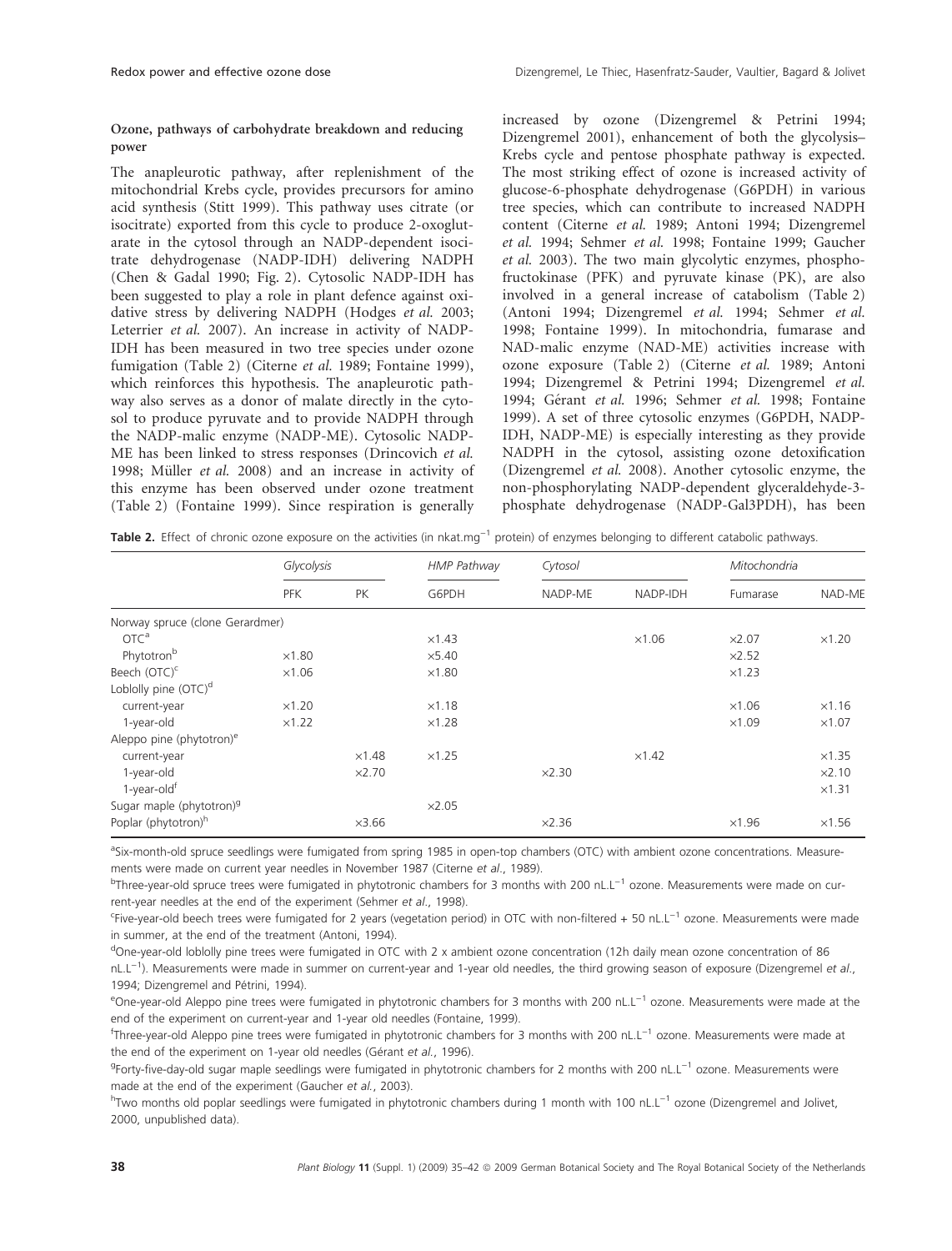## Ozone, pathways of carbohydrate breakdown and reducing power

The anapleurotic pathway, after replenishment of the mitochondrial Krebs cycle, provides precursors for amino acid synthesis (Stitt 1999). This pathway uses citrate (or isocitrate) exported from this cycle to produce 2-oxoglutarate in the cytosol through an NADP-dependent isocitrate dehydrogenase (NADP-IDH) delivering NADPH (Chen & Gadal 1990; Fig. 2). Cytosolic NADP-IDH has been suggested to play a role in plant defence against oxidative stress by delivering NADPH (Hodges et al. 2003; Leterrier et al. 2007). An increase in activity of NADP-IDH has been measured in two tree species under ozone fumigation (Table 2) (Citerne et al. 1989; Fontaine 1999), which reinforces this hypothesis. The anapleurotic pathway also serves as a donor of malate directly in the cytosol to produce pyruvate and to provide NADPH through the NADP-malic enzyme (NADP-ME). Cytosolic NADP-ME has been linked to stress responses (Drincovich et al. 1998; Müller et al. 2008) and an increase in activity of this enzyme has been observed under ozone treatment (Table 2) (Fontaine 1999). Since respiration is generally increased by ozone (Dizengremel & Petrini 1994; Dizengremel 2001), enhancement of both the glycolysis– Krebs cycle and pentose phosphate pathway is expected. The most striking effect of ozone is increased activity of glucose-6-phosphate dehydrogenase (G6PDH) in various tree species, which can contribute to increased NADPH content (Citerne et al. 1989; Antoni 1994; Dizengremel et al. 1994; Sehmer et al. 1998; Fontaine 1999; Gaucher et al. 2003). The two main glycolytic enzymes, phosphofructokinase (PFK) and pyruvate kinase (PK), are also involved in a general increase of catabolism (Table 2) (Antoni 1994; Dizengremel et al. 1994; Sehmer et al. 1998; Fontaine 1999). In mitochondria, fumarase and NAD-malic enzyme (NAD-ME) activities increase with ozone exposure (Table 2) (Citerne et al. 1989; Antoni 1994; Dizengremel & Petrini 1994; Dizengremel et al. 1994; Gérant et al. 1996; Sehmer et al. 1998; Fontaine 1999). A set of three cytosolic enzymes (G6PDH, NADP-IDH, NADP-ME) is especially interesting as they provide NADPH in the cytosol, assisting ozone detoxification (Dizengremel et al. 2008). Another cytosolic enzyme, the non-phosphorylating NADP-dependent glyceraldehyde-3 phosphate dehydrogenase (NADP-Gal3PDH), has been

Table 2. Effect of chronic ozone exposure on the activities (in nkat.mg<sup>-1</sup> protein) of enzymes belonging to different catabolic pathways.

|                                      | Glycolysis    |               | <b>HMP Pathway</b> | Cytosol       |               | Mitochondria  |               |
|--------------------------------------|---------------|---------------|--------------------|---------------|---------------|---------------|---------------|
|                                      | <b>PFK</b>    | PK            | G6PDH              | NADP-ME       | NADP-IDH      | Fumarase      | NAD-ME        |
| Norway spruce (clone Gerardmer)      |               |               |                    |               |               |               |               |
| OTC <sup>a</sup>                     |               |               | $\times$ 1.43      |               | $\times1.06$  | $\times$ 2.07 | $\times1.20$  |
| Phytotron <sup>b</sup>               | $\times1.80$  |               | $\times$ 5.40      |               |               | $\times$ 2.52 |               |
| Beech (OTC) <sup>c</sup>             | $\times1.06$  |               | $\times$ 1.80      |               |               | $\times$ 1.23 |               |
| Loblolly pine (OTC) <sup>d</sup>     |               |               |                    |               |               |               |               |
| current-year                         | $\times1.20$  |               | $\times1.18$       |               |               | $\times1.06$  | $\times1.16$  |
| 1-year-old                           | $\times$ 1.22 |               | $\times$ 1.28      |               |               | $\times1.09$  | $\times1.07$  |
| Aleppo pine (phytotron) <sup>e</sup> |               |               |                    |               |               |               |               |
| current-year                         |               | $\times$ 1.48 | $\times$ 1.25      |               | $\times$ 1.42 |               | $\times$ 1.35 |
| 1-year-old                           |               | $\times$ 2.70 |                    | $\times$ 2.30 |               |               | $\times 2.10$ |
| 1-year-oldf                          |               |               |                    |               |               |               | $\times$ 1.31 |
| Sugar maple (phytotron) <sup>9</sup> |               |               | $\times$ 2.05      |               |               |               |               |
| Poplar (phytotron) <sup>h</sup>      |               | $\times$ 3.66 |                    | $\times$ 2.36 |               | $\times$ 1.96 | $\times1.56$  |

aSix-month-old spruce seedlings were fumigated from spring 1985 in open-top chambers (OTC) with ambient ozone concentrations. Measurements were made on current year needles in November 1987 (Citerne et al., 1989).

<sup>b</sup>Three-year-old spruce trees were fumigated in phytotronic chambers for 3 months with 200 nL.L<sup>-1</sup> ozone. Measurements were made on current-year needles at the end of the experiment (Sehmer et al., 1998).

Five-year-old beech trees were fumigated for 2 years (vegetation period) in OTC with non-filtered + 50 nL.L<sup>-1</sup> ozone. Measurements were made in summer, at the end of the treatment (Antoni, 1994).

<sup>d</sup>One-year-old loblolly pine trees were fumigated in OTC with 2 x ambient ozone concentration (12h daily mean ozone concentration of 86 nL.L<sup>-1</sup>). Measurements were made in summer on current-year and 1-year old needles, the third growing season of exposure (Dizengremel et al., 1994; Dizengremel and Pétrini, 1994).

eOne-year-old Aleppo pine trees were fumigated in phytotronic chambers for 3 months with 200 nL.L<sup>-1</sup> ozone. Measurements were made at the end of the experiment on current-year and 1-year old needles (Fontaine, 1999).

<sup>f</sup>Three-year-old Aleppo pine trees were fumigated in phytotronic chambers for 3 months with 200 nL.L<sup>-1</sup> ozone. Measurements were made at the end of the experiment on 1-year old needles (Gérant et al., 1996).

<sup>g</sup>Forty-five-day-old sugar maple seedlings were fumigated in phytotronic chambers for 2 months with 200 nL.L<sup>-1</sup> ozone. Measurements were made at the end of the experiment (Gaucher et al., 2003).

<sup>h</sup>Two months old poplar seedlings were fumigated in phytotronic chambers during 1 month with 100 nL.L<sup>-1</sup> ozone (Dizengremel and Jolivet, 2000, unpublished data).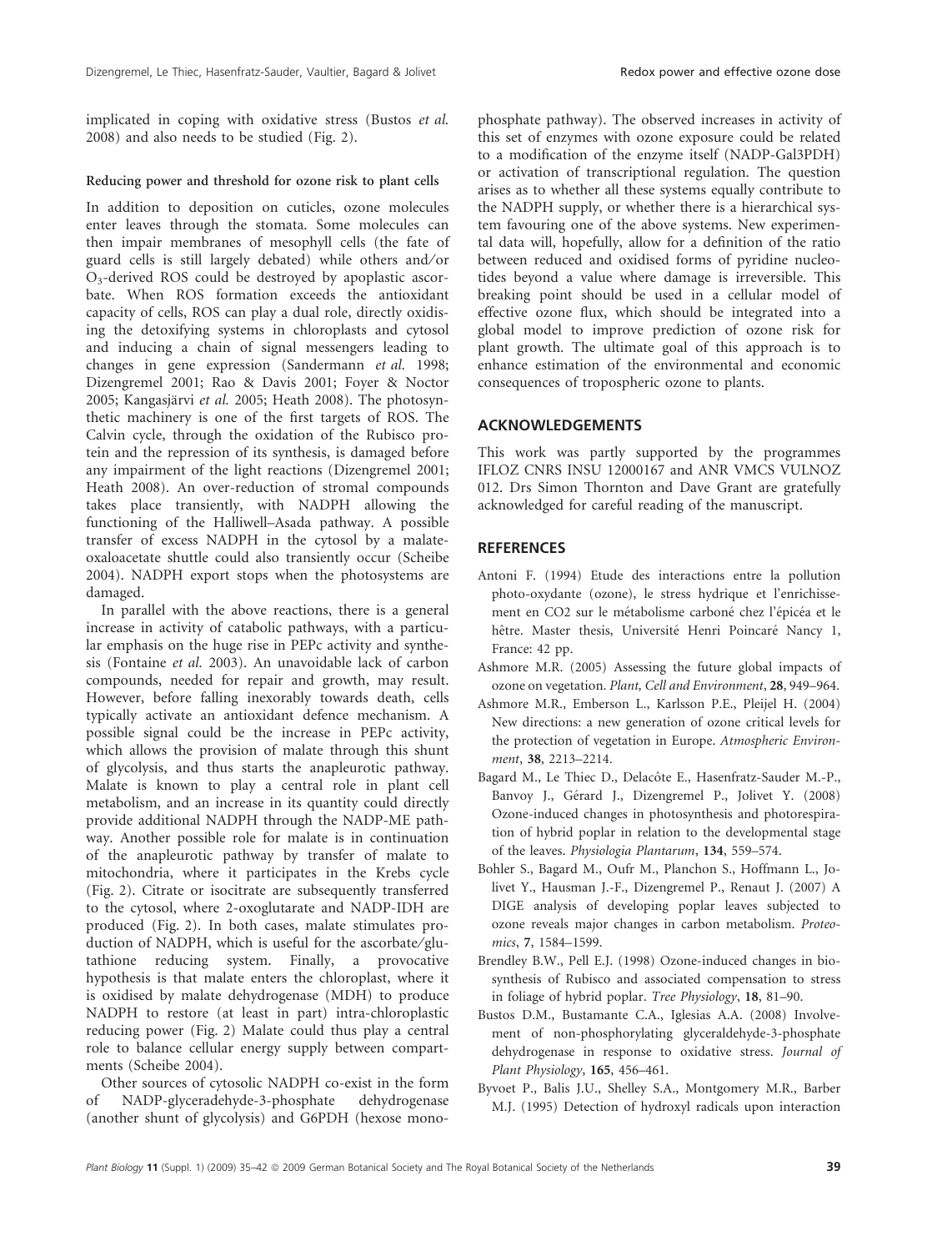implicated in coping with oxidative stress (Bustos et al. 2008) and also needs to be studied (Fig. 2).

#### Reducing power and threshold for ozone risk to plant cells

In addition to deposition on cuticles, ozone molecules enter leaves through the stomata. Some molecules can then impair membranes of mesophyll cells (the fate of guard cells is still largely debated) while others and/or O3-derived ROS could be destroyed by apoplastic ascorbate. When ROS formation exceeds the antioxidant capacity of cells, ROS can play a dual role, directly oxidising the detoxifying systems in chloroplasts and cytosol and inducing a chain of signal messengers leading to changes in gene expression (Sandermann et al. 1998; Dizengremel 2001; Rao & Davis 2001; Foyer & Noctor 2005; Kangasjärvi et al. 2005; Heath 2008). The photosynthetic machinery is one of the first targets of ROS. The Calvin cycle, through the oxidation of the Rubisco protein and the repression of its synthesis, is damaged before any impairment of the light reactions (Dizengremel 2001; Heath 2008). An over-reduction of stromal compounds takes place transiently, with NADPH allowing the functioning of the Halliwell–Asada pathway. A possible transfer of excess NADPH in the cytosol by a malateoxaloacetate shuttle could also transiently occur (Scheibe 2004). NADPH export stops when the photosystems are damaged.

In parallel with the above reactions, there is a general increase in activity of catabolic pathways, with a particular emphasis on the huge rise in PEPc activity and synthesis (Fontaine et al. 2003). An unavoidable lack of carbon compounds, needed for repair and growth, may result. However, before falling inexorably towards death, cells typically activate an antioxidant defence mechanism. A possible signal could be the increase in PEPc activity, which allows the provision of malate through this shunt of glycolysis, and thus starts the anapleurotic pathway. Malate is known to play a central role in plant cell metabolism, and an increase in its quantity could directly provide additional NADPH through the NADP-ME pathway. Another possible role for malate is in continuation of the anapleurotic pathway by transfer of malate to mitochondria, where it participates in the Krebs cycle (Fig. 2). Citrate or isocitrate are subsequently transferred to the cytosol, where 2-oxoglutarate and NADP-IDH are produced (Fig. 2). In both cases, malate stimulates production of NADPH, which is useful for the ascorbate/glutathione reducing system. Finally, a provocative hypothesis is that malate enters the chloroplast, where it is oxidised by malate dehydrogenase (MDH) to produce NADPH to restore (at least in part) intra-chloroplastic reducing power (Fig. 2) Malate could thus play a central role to balance cellular energy supply between compartments (Scheibe 2004).

Other sources of cytosolic NADPH co-exist in the form of NADP-glyceradehyde-3-phosphate dehydrogenase (another shunt of glycolysis) and G6PDH (hexose monophosphate pathway). The observed increases in activity of this set of enzymes with ozone exposure could be related to a modification of the enzyme itself (NADP-Gal3PDH) or activation of transcriptional regulation. The question arises as to whether all these systems equally contribute to the NADPH supply, or whether there is a hierarchical system favouring one of the above systems. New experimental data will, hopefully, allow for a definition of the ratio between reduced and oxidised forms of pyridine nucleotides beyond a value where damage is irreversible. This breaking point should be used in a cellular model of effective ozone flux, which should be integrated into a global model to improve prediction of ozone risk for plant growth. The ultimate goal of this approach is to enhance estimation of the environmental and economic consequences of tropospheric ozone to plants.

## ACKNOWLEDGEMENTS

This work was partly supported by the programmes IFLOZ CNRS INSU 12000167 and ANR VMCS VULNOZ 012. Drs Simon Thornton and Dave Grant are gratefully acknowledged for careful reading of the manuscript.

## **REFERENCES**

- Antoni F. (1994) Etude des interactions entre la pollution photo-oxydante (ozone), le stress hydrique et l'enrichissement en CO2 sur le métabolisme carboné chez l'épicéa et le hêtre. Master thesis, Université Henri Poincaré Nancy 1, France: 42 pp.
- Ashmore M.R. (2005) Assessing the future global impacts of ozone on vegetation. Plant, Cell and Environment, 28, 949–964.
- Ashmore M.R., Emberson L., Karlsson P.E., Pleijel H. (2004) New directions: a new generation of ozone critical levels for the protection of vegetation in Europe. Atmospheric Environment, 38, 2213–2214.
- Bagard M., Le Thiec D., Delacôte E., Hasenfratz-Sauder M.-P., Banvoy J., Gérard J., Dizengremel P., Jolivet Y. (2008) Ozone-induced changes in photosynthesis and photorespiration of hybrid poplar in relation to the developmental stage of the leaves. Physiologia Plantarum, 134, 559–574.
- Bohler S., Bagard M., Oufr M., Planchon S., Hoffmann L., Jolivet Y., Hausman J.-F., Dizengremel P., Renaut J. (2007) A DIGE analysis of developing poplar leaves subjected to ozone reveals major changes in carbon metabolism. Proteomics, 7, 1584–1599.
- Brendley B.W., Pell E.J. (1998) Ozone-induced changes in biosynthesis of Rubisco and associated compensation to stress in foliage of hybrid poplar. Tree Physiology, 18, 81–90.
- Bustos D.M., Bustamante C.A., Iglesias A.A. (2008) Involvement of non-phosphorylating glyceraldehyde-3-phosphate dehydrogenase in response to oxidative stress. Journal of Plant Physiology, 165, 456–461.
- Byvoet P., Balis J.U., Shelley S.A., Montgomery M.R., Barber M.J. (1995) Detection of hydroxyl radicals upon interaction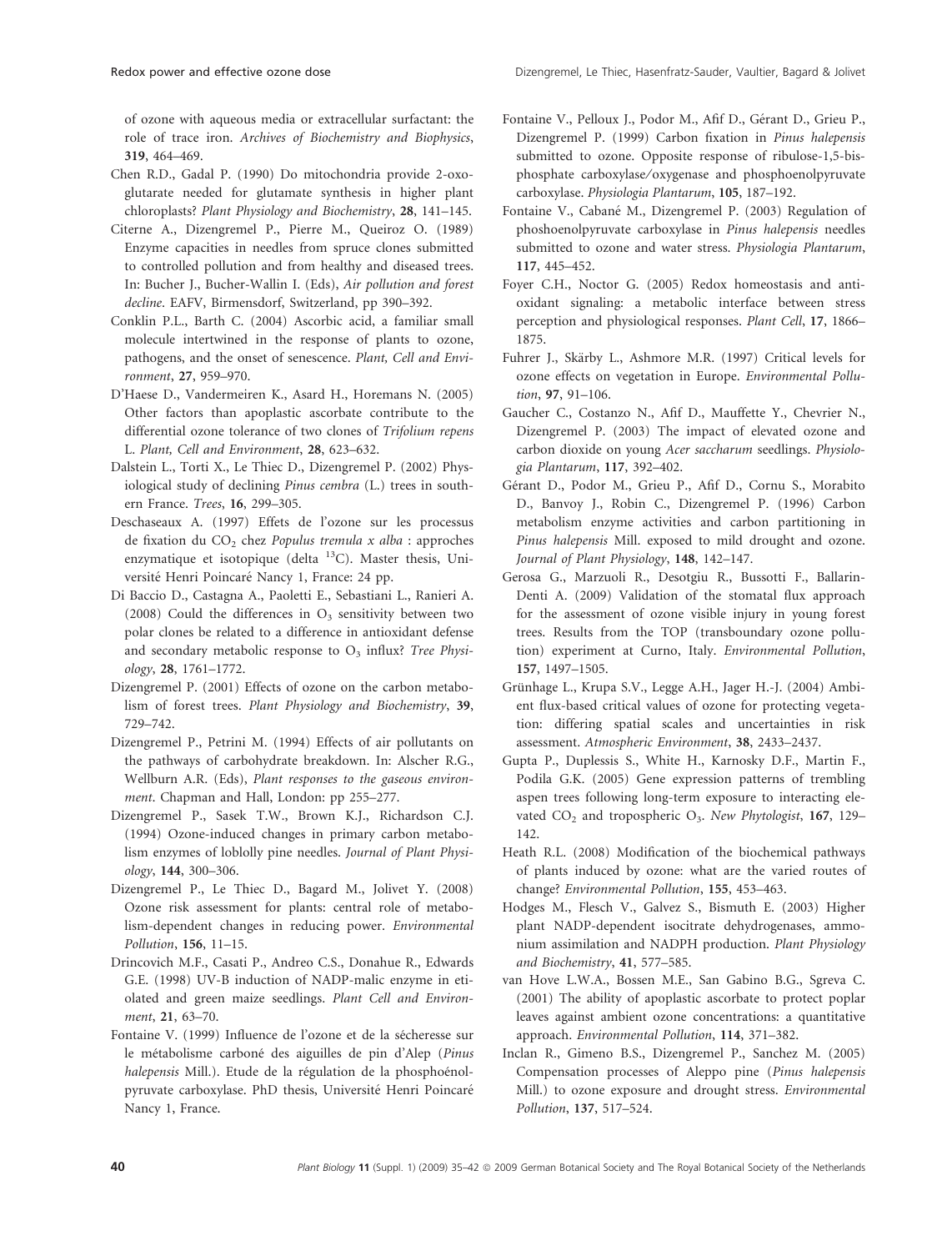of ozone with aqueous media or extracellular surfactant: the role of trace iron. Archives of Biochemistry and Biophysics, 319, 464–469.

- Chen R.D., Gadal P. (1990) Do mitochondria provide 2-oxoglutarate needed for glutamate synthesis in higher plant chloroplasts? Plant Physiology and Biochemistry, 28, 141–145.
- Citerne A., Dizengremel P., Pierre M., Queiroz O. (1989) Enzyme capacities in needles from spruce clones submitted to controlled pollution and from healthy and diseased trees. In: Bucher J., Bucher-Wallin I. (Eds), Air pollution and forest decline. EAFV, Birmensdorf, Switzerland, pp 390–392.
- Conklin P.L., Barth C. (2004) Ascorbic acid, a familiar small molecule intertwined in the response of plants to ozone, pathogens, and the onset of senescence. Plant, Cell and Environment, 27, 959–970.
- D'Haese D., Vandermeiren K., Asard H., Horemans N. (2005) Other factors than apoplastic ascorbate contribute to the differential ozone tolerance of two clones of Trifolium repens L. Plant, Cell and Environment, 28, 623–632.
- Dalstein L., Torti X., Le Thiec D., Dizengremel P. (2002) Physiological study of declining Pinus cembra (L.) trees in southern France. Trees, 16, 299–305.
- Deschaseaux A. (1997) Effets de l'ozone sur les processus de fixation du  $CO<sub>2</sub>$  chez Populus tremula x alba : approches enzymatique et isotopique (delta  $^{13}$ C). Master thesis, Université Henri Poincaré Nancy 1, France: 24 pp.
- Di Baccio D., Castagna A., Paoletti E., Sebastiani L., Ranieri A. (2008) Could the differences in  $O_3$  sensitivity between two polar clones be related to a difference in antioxidant defense and secondary metabolic response to  $O_3$  influx? Tree Physiology, 28, 1761–1772.
- Dizengremel P. (2001) Effects of ozone on the carbon metabolism of forest trees. Plant Physiology and Biochemistry, 39, 729–742.
- Dizengremel P., Petrini M. (1994) Effects of air pollutants on the pathways of carbohydrate breakdown. In: Alscher R.G., Wellburn A.R. (Eds), Plant responses to the gaseous environment. Chapman and Hall, London: pp 255–277.
- Dizengremel P., Sasek T.W., Brown K.J., Richardson C.J. (1994) Ozone-induced changes in primary carbon metabolism enzymes of loblolly pine needles. Journal of Plant Physiology, 144, 300–306.
- Dizengremel P., Le Thiec D., Bagard M., Jolivet Y. (2008) Ozone risk assessment for plants: central role of metabolism-dependent changes in reducing power. Environmental Pollution, 156, 11–15.
- Drincovich M.F., Casati P., Andreo C.S., Donahue R., Edwards G.E. (1998) UV-B induction of NADP-malic enzyme in etiolated and green maize seedlings. Plant Cell and Environment, 21, 63–70.
- Fontaine V. (1999) Influence de l'ozone et de la sécheresse sur le métabolisme carboné des aiguilles de pin d'Alep (Pinus halepensis Mill.). Etude de la régulation de la phosphoénolpyruvate carboxylase. PhD thesis, Université Henri Poincaré Nancy 1, France.
- Fontaine V., Pelloux J., Podor M., Afif D., Gérant D., Grieu P., Dizengremel P. (1999) Carbon fixation in Pinus halepensis submitted to ozone. Opposite response of ribulose-1,5-bisphosphate carboxylase/oxygenase and phosphoenolpyruvate carboxylase. Physiologia Plantarum, 105, 187–192.
- Fontaine V., Cabané M., Dizengremel P. (2003) Regulation of phoshoenolpyruvate carboxylase in Pinus halepensis needles submitted to ozone and water stress. Physiologia Plantarum, 117, 445–452.
- Foyer C.H., Noctor G. (2005) Redox homeostasis and antioxidant signaling: a metabolic interface between stress perception and physiological responses. Plant Cell, 17, 1866– 1875.
- Fuhrer J., Skärby L., Ashmore M.R. (1997) Critical levels for ozone effects on vegetation in Europe. Environmental Pollution, 97, 91–106.
- Gaucher C., Costanzo N., Afif D., Mauffette Y., Chevrier N., Dizengremel P. (2003) The impact of elevated ozone and carbon dioxide on young Acer saccharum seedlings. Physiologia Plantarum, 117, 392–402.
- Gérant D., Podor M., Grieu P., Afif D., Cornu S., Morabito D., Banvoy J., Robin C., Dizengremel P. (1996) Carbon metabolism enzyme activities and carbon partitioning in Pinus halepensis Mill. exposed to mild drought and ozone. Journal of Plant Physiology, 148, 142–147.
- Gerosa G., Marzuoli R., Desotgiu R., Bussotti F., Ballarin-Denti A. (2009) Validation of the stomatal flux approach for the assessment of ozone visible injury in young forest trees. Results from the TOP (transboundary ozone pollution) experiment at Curno, Italy. Environmental Pollution, 157, 1497–1505.
- Grünhage L., Krupa S.V., Legge A.H., Jager H.-J. (2004) Ambient flux-based critical values of ozone for protecting vegetation: differing spatial scales and uncertainties in risk assessment. Atmospheric Environment, 38, 2433–2437.
- Gupta P., Duplessis S., White H., Karnosky D.F., Martin F., Podila G.K. (2005) Gene expression patterns of trembling aspen trees following long-term exposure to interacting elevated  $CO_2$  and tropospheric  $O_3$ . New Phytologist, 167, 129– 142.
- Heath R.L. (2008) Modification of the biochemical pathways of plants induced by ozone: what are the varied routes of change? Environmental Pollution, 155, 453–463.
- Hodges M., Flesch V., Galvez S., Bismuth E. (2003) Higher plant NADP-dependent isocitrate dehydrogenases, ammonium assimilation and NADPH production. Plant Physiology and Biochemistry, 41, 577–585.
- van Hove L.W.A., Bossen M.E., San Gabino B.G., Sgreva C. (2001) The ability of apoplastic ascorbate to protect poplar leaves against ambient ozone concentrations: a quantitative approach. Environmental Pollution, 114, 371–382.
- Inclan R., Gimeno B.S., Dizengremel P., Sanchez M. (2005) Compensation processes of Aleppo pine (Pinus halepensis Mill.) to ozone exposure and drought stress. Environmental Pollution, 137, 517–524.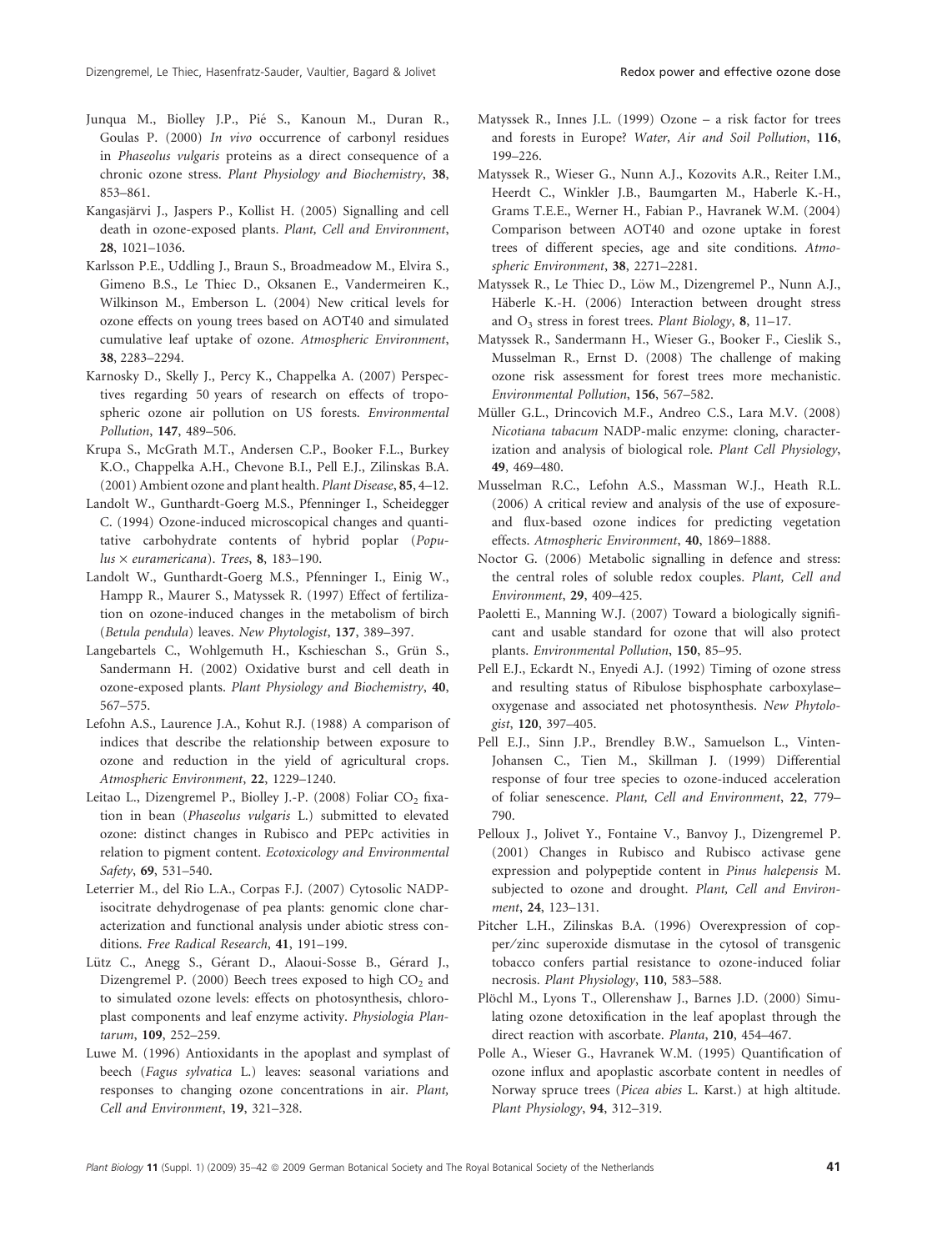- Junqua M., Biolley J.P., Pié S., Kanoun M., Duran R., Goulas P. (2000) In vivo occurrence of carbonyl residues in Phaseolus vulgaris proteins as a direct consequence of a chronic ozone stress. Plant Physiology and Biochemistry, 38, 853–861.
- Kangasjärvi J., Jaspers P., Kollist H. (2005) Signalling and cell death in ozone-exposed plants. Plant, Cell and Environment, 28, 1021–1036.
- Karlsson P.E., Uddling J., Braun S., Broadmeadow M., Elvira S., Gimeno B.S., Le Thiec D., Oksanen E., Vandermeiren K., Wilkinson M., Emberson L. (2004) New critical levels for ozone effects on young trees based on AOT40 and simulated cumulative leaf uptake of ozone. Atmospheric Environment, 38, 2283–2294.
- Karnosky D., Skelly J., Percy K., Chappelka A. (2007) Perspectives regarding 50 years of research on effects of tropospheric ozone air pollution on US forests. Environmental Pollution, 147, 489–506.
- Krupa S., McGrath M.T., Andersen C.P., Booker F.L., Burkey K.O., Chappelka A.H., Chevone B.I., Pell E.J., Zilinskas B.A. (2001) Ambient ozone and plant health. Plant Disease, 85, 4–12.
- Landolt W., Gunthardt-Goerg M.S., Pfenninger I., Scheidegger C. (1994) Ozone-induced microscopical changes and quantitative carbohydrate contents of hybrid poplar (Popu $lus \times euramericana)$ . Trees, 8, 183-190.
- Landolt W., Gunthardt-Goerg M.S., Pfenninger I., Einig W., Hampp R., Maurer S., Matyssek R. (1997) Effect of fertilization on ozone-induced changes in the metabolism of birch (Betula pendula) leaves. New Phytologist, 137, 389–397.
- Langebartels C., Wohlgemuth H., Kschieschan S., Grün S., Sandermann H. (2002) Oxidative burst and cell death in ozone-exposed plants. Plant Physiology and Biochemistry, 40, 567–575.
- Lefohn A.S., Laurence J.A., Kohut R.J. (1988) A comparison of indices that describe the relationship between exposure to ozone and reduction in the yield of agricultural crops. Atmospheric Environment, 22, 1229–1240.
- Leitao L., Dizengremel P., Biolley J.-P. (2008) Foliar CO<sub>2</sub> fixation in bean (Phaseolus vulgaris L.) submitted to elevated ozone: distinct changes in Rubisco and PEPc activities in relation to pigment content. Ecotoxicology and Environmental Safety, 69, 531–540.
- Leterrier M., del Rio L.A., Corpas F.J. (2007) Cytosolic NADPisocitrate dehydrogenase of pea plants: genomic clone characterization and functional analysis under abiotic stress conditions. Free Radical Research, 41, 191–199.
- Lütz C., Anegg S., Gérant D., Alaoui-Sosse B., Gérard J., Dizengremel P. (2000) Beech trees exposed to high  $CO<sub>2</sub>$  and to simulated ozone levels: effects on photosynthesis, chloroplast components and leaf enzyme activity. Physiologia Plantarum, 109, 252–259.
- Luwe M. (1996) Antioxidants in the apoplast and symplast of beech (Fagus sylvatica L.) leaves: seasonal variations and responses to changing ozone concentrations in air. Plant, Cell and Environment, 19, 321–328.
- Matyssek R., Innes J.L. (1999) Ozone a risk factor for trees and forests in Europe? Water, Air and Soil Pollution, 116, 199–226.
- Matyssek R., Wieser G., Nunn A.J., Kozovits A.R., Reiter I.M., Heerdt C., Winkler J.B., Baumgarten M., Haberle K.-H., Grams T.E.E., Werner H., Fabian P., Havranek W.M. (2004) Comparison between AOT40 and ozone uptake in forest trees of different species, age and site conditions. Atmospheric Environment, 38, 2271–2281.
- Matyssek R., Le Thiec D., Löw M., Dizengremel P., Nunn A.J., Häberle K.-H. (2006) Interaction between drought stress and  $O_3$  stress in forest trees. Plant Biology, 8, 11–17.
- Matyssek R., Sandermann H., Wieser G., Booker F., Cieslik S., Musselman R., Ernst D. (2008) The challenge of making ozone risk assessment for forest trees more mechanistic. Environmental Pollution, 156, 567–582.
- Müller G.L., Drincovich M.F., Andreo C.S., Lara M.V. (2008) Nicotiana tabacum NADP-malic enzyme: cloning, characterization and analysis of biological role. Plant Cell Physiology, 49, 469–480.
- Musselman R.C., Lefohn A.S., Massman W.J., Heath R.L. (2006) A critical review and analysis of the use of exposureand flux-based ozone indices for predicting vegetation effects. Atmospheric Environment, 40, 1869–1888.
- Noctor G. (2006) Metabolic signalling in defence and stress: the central roles of soluble redox couples. Plant, Cell and Environment, 29, 409–425.
- Paoletti E., Manning W.J. (2007) Toward a biologically significant and usable standard for ozone that will also protect plants. Environmental Pollution, 150, 85–95.
- Pell E.J., Eckardt N., Enyedi A.J. (1992) Timing of ozone stress and resulting status of Ribulose bisphosphate carboxylase– oxygenase and associated net photosynthesis. New Phytologist, 120, 397–405.
- Pell E.J., Sinn J.P., Brendley B.W., Samuelson L., Vinten-Johansen C., Tien M., Skillman J. (1999) Differential response of four tree species to ozone-induced acceleration of foliar senescence. Plant, Cell and Environment, 22, 779– 790.
- Pelloux J., Jolivet Y., Fontaine V., Banvoy J., Dizengremel P. (2001) Changes in Rubisco and Rubisco activase gene expression and polypeptide content in Pinus halepensis M. subjected to ozone and drought. Plant, Cell and Environment, 24, 123–131.
- Pitcher L.H., Zilinskas B.A. (1996) Overexpression of copper⁄ zinc superoxide dismutase in the cytosol of transgenic tobacco confers partial resistance to ozone-induced foliar necrosis. Plant Physiology, 110, 583–588.
- Plöchl M., Lyons T., Ollerenshaw J., Barnes J.D. (2000) Simulating ozone detoxification in the leaf apoplast through the direct reaction with ascorbate. Planta, 210, 454–467.
- Polle A., Wieser G., Havranek W.M. (1995) Quantification of ozone influx and apoplastic ascorbate content in needles of Norway spruce trees (Picea abies L. Karst.) at high altitude. Plant Physiology, 94, 312–319.